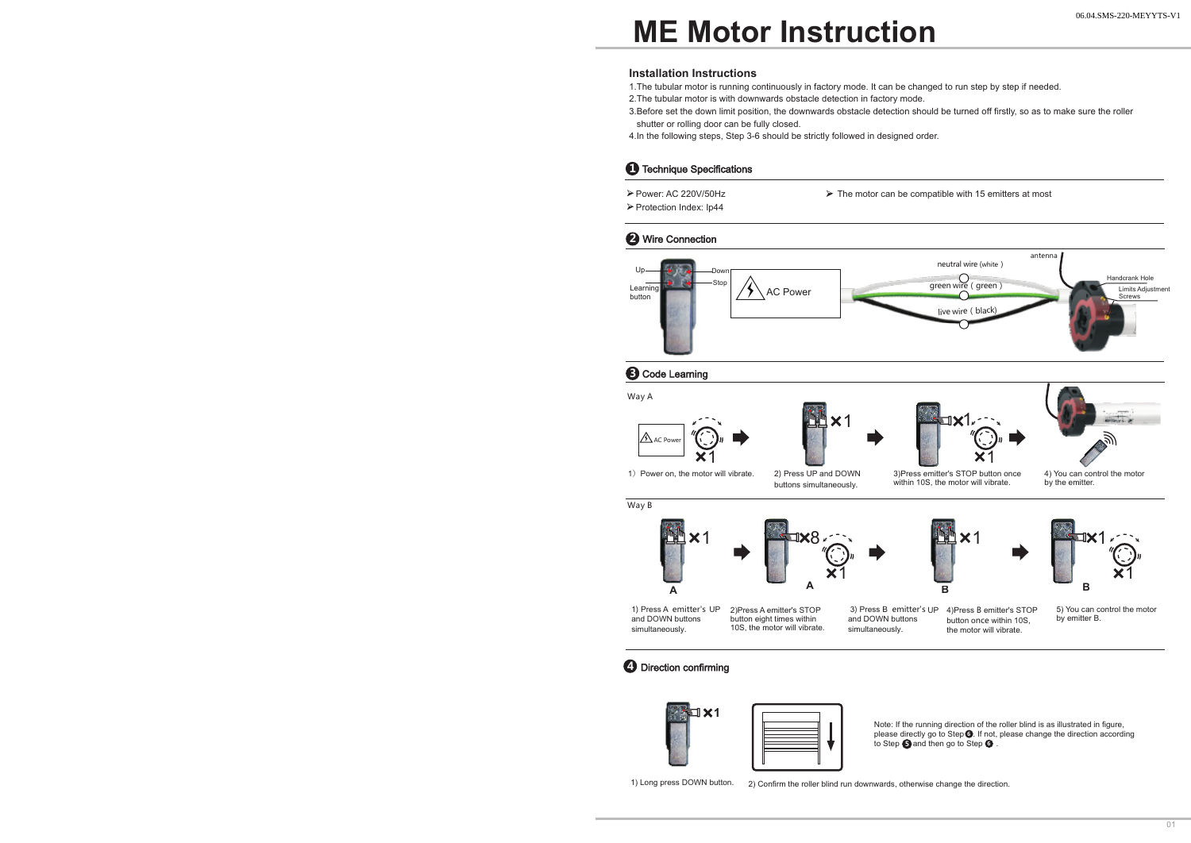## **ME Motor Instruction**

#### **Installation Instructions**

1.The tubular motor is running continuously in factory mode. It can be changed to run step by step if needed.

2.The tubular motor is with downwards obstacle detection in factory mode.

- 3.Before set the down limit position, the downwards obstacle detection should be turned off firstly, so as to make sure the roller shutter or rolling door can be fully closed.
- 4.In the following steps, Step 3-6 should be strictly followed in designed order.

## **1** Technique Specifications

Power: AC 220V/50Hz Protection Index: Ip44

 $\triangleright$  The motor can be compatible with 15 emitters at most

### **2** Wire Connection











1) Power on, the motor will vibrate. 2) Press UP and DOWN 3) Press emitter's STOP button once 4) You can control the motor within 10S, the motor will vibrate. 2) Press UP and DOWN buttons simultaneously.

by the emitter.

Way B







1

1) Press A emitter's UP and DOWN buttons simultaneously. 2)Press A emitter's STOP button eight times within 10S, the motor will vibrate. 3) Press B emitter's UP 4) Press B emitter's STOP and DOWN buttons simultaneously. button once within 10S, the motor will vibrate.

1

 5) You can control the motor by emitter B.

## **4** Direction confirming



Note: If the running direction of the roller blind is as illustrated in figure, please directly go to Step <sup>6</sup>. If not, please change the direction according to Step  $\bigcirc$  and then go to Step  $\bigcirc$  .

1) Long press DOWN button. 2) Confirm the roller blind run downwards, otherwise change the direction.